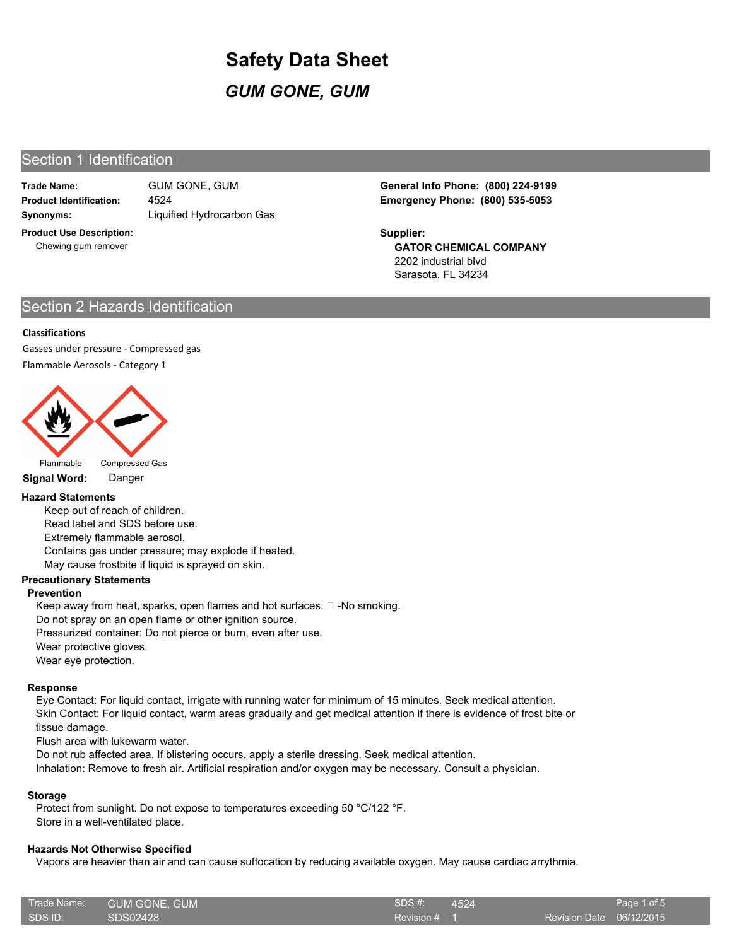## Section 1 Identification

**Trade Name:**

**Synonyms:** Liquified Hydrocarbon Gas 4524

**Product Use Description:** Chewing gum remover

**Product Identification: Emergency Phone: (800) 535-5053** GUM GONE, GUM **General Info Phone: (800) 224-9199**

> **GATOR CHEMICAL COMPANY** 2202 industrial blvd Sarasota, FL 34234 **Supplier:**

## Section 2 Hazards Identification

## **Classifications**

Gasses under pressure - Compressed gas Flammable Aerosols - Category 1



**Signal Word:** Danger

## **Hazard Statements**

Keep out of reach of children. Read label and SDS before use. Extremely flammable aerosol. Contains gas under pressure; may explode if heated. May cause frostbite if liquid is sprayed on skin.

## **Precautionary Statements**

## **Prevention**

Keep away from heat, sparks, open flames and hot surfaces.  $\square$  -No smoking. Do not spray on an open flame or other ignition source. Pressurized container: Do not pierce or burn, even after use. Wear protective gloves. Wear eye protection.

## **Response**

Eye Contact: For liquid contact, irrigate with running water for minimum of 15 minutes. Seek medical attention. Skin Contact: For liquid contact, warm areas gradually and get medical attention if there is evidence of frost bite or tissue damage.

Flush area with lukewarm water.

Do not rub affected area. If blistering occurs, apply a sterile dressing. Seek medical attention.

Inhalation: Remove to fresh air. Artificial respiration and/or oxygen may be necessary. Consult a physician.

## **Storage**

Protect from sunlight. Do not expose to temperatures exceeding 50 °C/122 °F. Store in a well-ventilated place.

## **Hazards Not Otherwise Specified**

Vapors are heavier than air and can cause suffocation by reducing available oxygen. May cause cardiac arrythmia.

| Trade Name: \                    | GUM GONE, GUM | SDS #:         | 4524 |                          | Page 1 of 5 |
|----------------------------------|---------------|----------------|------|--------------------------|-------------|
| $\overline{\phantom{a}}$ SDS ID: | SDS02428      | Revision $# 1$ |      | Revision Date 06/12/2015 |             |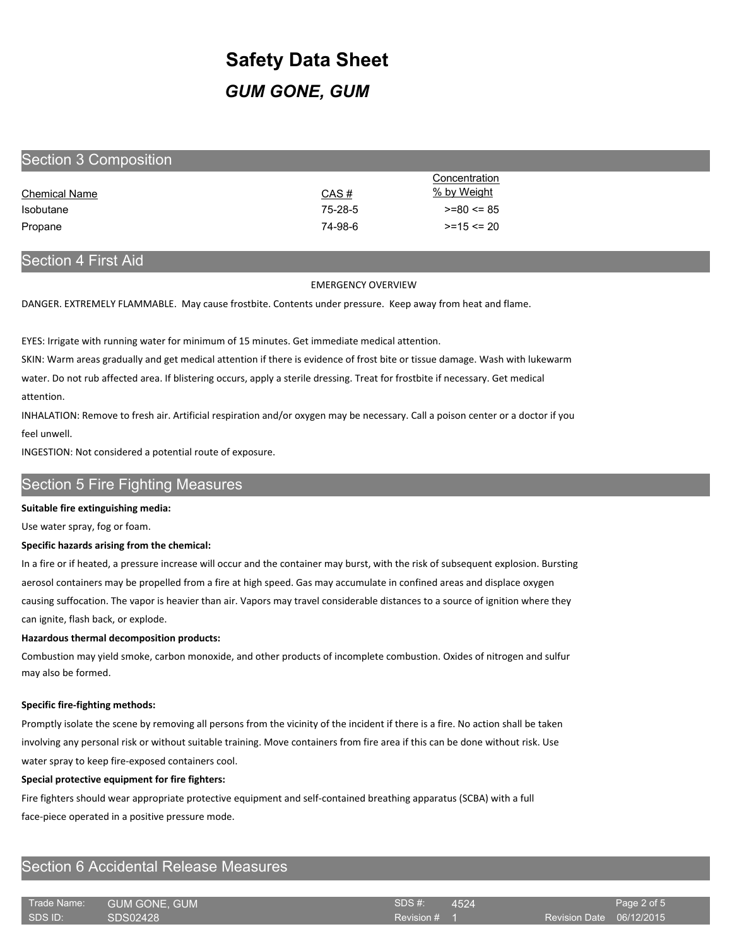| Section 3 Composition |         |                |
|-----------------------|---------|----------------|
|                       |         | Concentration  |
| <b>Chemical Name</b>  | CAS#    | % by Weight    |
| <b>Isobutane</b>      | 75-28-5 | $>= 80 \le 85$ |
| Propane               | 74-98-6 | $>= 15 < 20$   |

## Section 4 First Aid

EMERGENCY OVERVIEW

DANGER. EXTREMELY FLAMMABLE. May cause frostbite. Contents under pressure. Keep away from heat and flame.

EYES: Irrigate with running water for minimum of 15 minutes. Get immediate medical attention.

SKIN: Warm areas gradually and get medical attention if there is evidence of frost bite or tissue damage. Wash with lukewarm

water. Do not rub affected area. If blistering occurs, apply a sterile dressing. Treat for frostbite if necessary. Get medical attention.

INHALATION: Remove to fresh air. Artificial respiration and/or oxygen may be necessary. Call a poison center or a doctor if you feel unwell.

INGESTION: Not considered a potential route of exposure.

## Section 5 Fire Fighting Measures

## **Suitable fire extinguishing media:**

Use water spray, fog or foam.

## **Specific hazards arising from the chemical:**

In a fire or if heated, a pressure increase will occur and the container may burst, with the risk of subsequent explosion. Bursting aerosol containers may be propelled from a fire at high speed. Gas may accumulate in confined areas and displace oxygen causing suffocation. The vapor is heavier than air. Vapors may travel considerable distances to a source of ignition where they can ignite, flash back, or explode.

## **Hazardous thermal decomposition products:**

Combustion may yield smoke, carbon monoxide, and other products of incomplete combustion. Oxides of nitrogen and sulfur may also be formed.

## **Specific fire-fighting methods:**

Promptly isolate the scene by removing all persons from the vicinity of the incident if there is a fire. No action shall be taken involving any personal risk or without suitable training. Move containers from fire area if this can be done without risk. Use water spray to keep fire-exposed containers cool.

#### **Special protective equipment for fire fighters:**

Fire fighters should wear appropriate protective equipment and self-contained breathing apparatus (SCBA) with a full face-piece operated in a positive pressure mode.

## Section 6 Accidental Release Measures

| ⊦Trade Name: ' | <b>GUM GONE, GUM</b> | SDS#    |
|----------------|----------------------|---------|
| I SDS ID:      | SDS02428             | Revisio |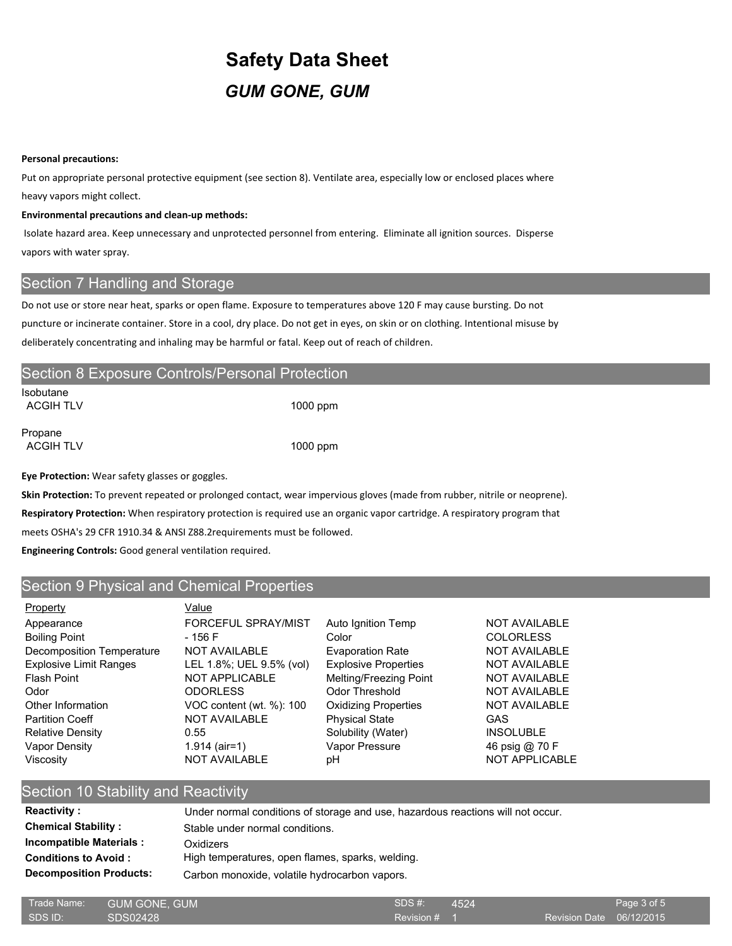#### **Personal precautions:**

Put on appropriate personal protective equipment (see section 8). Ventilate area, especially low or enclosed places where heavy vapors might collect.

#### **Environmental precautions and clean-up methods:**

 Isolate hazard area. Keep unnecessary and unprotected personnel from entering. Eliminate all ignition sources. Disperse vapors with water spray.

## Section 7 Handling and Storage

Do not use or store near heat, sparks or open flame. Exposure to temperatures above 120 F may cause bursting. Do not puncture or incinerate container. Store in a cool, dry place. Do not get in eyes, on skin or on clothing. Intentional misuse by deliberately concentrating and inhaling may be harmful or fatal. Keep out of reach of children.

|                               | Section 8 Exposure Controls/Personal Protection |  |
|-------------------------------|-------------------------------------------------|--|
| Isobutane<br><b>ACGIH TLV</b> | $1000$ ppm                                      |  |
| Propane<br><b>ACGIH TLV</b>   | $1000$ ppm                                      |  |

**Eye Protection:** Wear safety glasses or goggles.

**Skin Protection:** To prevent repeated or prolonged contact, wear impervious gloves (made from rubber, nitrile or neoprene).

**Respiratory Protection:** When respiratory protection is required use an organic vapor cartridge. A respiratory program that

meets OSHA's 29 CFR 1910.34 & ANSI Z88.2requirements must be followed.

**Engineering Controls:** Good general ventilation required.

## Section 9 Physical and Chemical Properties

| Property                      | Value                    |                             |                       |
|-------------------------------|--------------------------|-----------------------------|-----------------------|
| Appearance                    | FORCEFUL SPRAY/MIST      | Auto Ignition Temp          | <b>NOT AVAILABLE</b>  |
| <b>Boiling Point</b>          | - 156 F                  | Color                       | <b>COLORLESS</b>      |
| Decomposition Temperature     | <b>NOT AVAILABLE</b>     | <b>Evaporation Rate</b>     | <b>NOT AVAILABLE</b>  |
| <b>Explosive Limit Ranges</b> | LEL 1.8%; UEL 9.5% (vol) | <b>Explosive Properties</b> | <b>NOT AVAILABLE</b>  |
| Flash Point                   | NOT APPLICABLE           | Melting/Freezing Point      | <b>NOT AVAILABLE</b>  |
| Odor                          | <b>ODORLESS</b>          | Odor Threshold              | <b>NOT AVAILABLE</b>  |
| Other Information             | VOC content (wt. %): 100 | <b>Oxidizing Properties</b> | <b>NOT AVAILABLE</b>  |
| <b>Partition Coeff</b>        | <b>NOT AVAILABLE</b>     | <b>Physical State</b>       | GAS                   |
| <b>Relative Density</b>       | 0.55                     | Solubility (Water)          | <b>INSOLUBLE</b>      |
| Vapor Density                 | $1.914$ (air=1)          | Vapor Pressure              | 46 psig @ 70 F        |
| Viscosity                     | <b>NOT AVAILABLE</b>     | рH                          | <b>NOT APPLICABLE</b> |

## Section 10 Stability and Reactivity Reactivity : Under normal conditions of storage and use, hazardous reactions will not occur. **Chemical Stability :** Stable under normal conditions. **Incompatible Materials :** Oxidizers

**Conditions to Avoid :** High temperatures, open flames, sparks, welding.

**Decomposition Products:** Carbon monoxide, volatile hydrocarbon vapors.

| Trade Name: | <b>GUM GONE, GUM</b> | SDS #:       | 4524 |                          | Page 3 of 5 |
|-------------|----------------------|--------------|------|--------------------------|-------------|
| SDS ID:     | SDS02428             | Revision # 1 |      | Revision Date 06/12/2015 |             |
|             |                      |              |      |                          |             |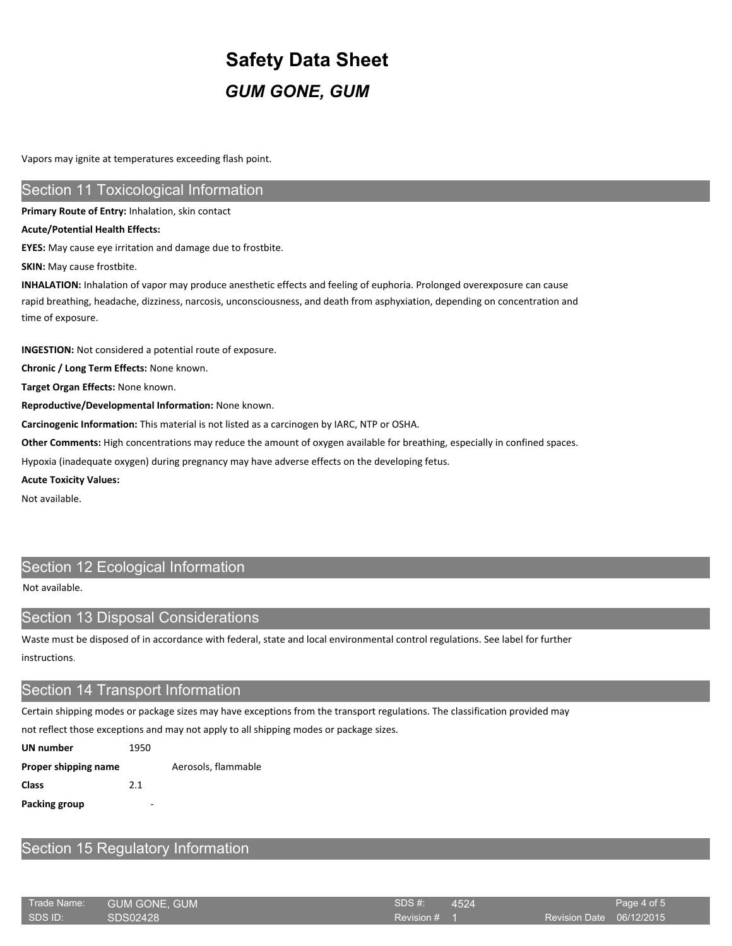Vapors may ignite at temperatures exceeding flash point.

## **Section 11 Toxicological Information**

**Primary Route of Entry:** Inhalation, skin contact

#### **Acute/Potential Health Effects:**

**EYES:** May cause eye irritation and damage due to frostbite.

**SKIN:** May cause frostbite.

**INHALATION:** Inhalation of vapor may produce anesthetic effects and feeling of euphoria. Prolonged overexposure can cause rapid breathing, headache, dizziness, narcosis, unconsciousness, and death from asphyxiation, depending on concentration and time of exposure.

**INGESTION:** Not considered a potential route of exposure.

**Chronic / Long Term Effects:** None known.

**Target Organ Effects:** None known.

**Reproductive/Developmental Information:** None known.

**Carcinogenic Information:** This material is not listed as a carcinogen by IARC, NTP or OSHA.

**Other Comments:** High concentrations may reduce the amount of oxygen available for breathing, especially in confined spaces.

Hypoxia (inadequate oxygen) during pregnancy may have adverse effects on the developing fetus.

#### **Acute Toxicity Values:**

Not available.

## Section 12 Ecological Information

Not available.

# Section 13 Disposal Considerations

Waste must be disposed of in accordance with federal, state and local environmental control regulations. See label for further instructions.

## Section 14 Transport Information

Certain shipping modes or package sizes may have exceptions from the transport regulations. The classification provided may

not reflect those exceptions and may not apply to all shipping modes or package sizes.

| UN number            | 1950 |                     |
|----------------------|------|---------------------|
| Proper shipping name |      | Aerosols, flammable |
| Class                | 2.1  |                     |
| Packing group        | -    |                     |

## Section 15 Regulatory Information

| Trade Name: | GUM GONE. GUM | SDS #:       | $-4524$ |                          | Page 4 of 5 |
|-------------|---------------|--------------|---------|--------------------------|-------------|
| SDS ID:     | SDS02428      | Revision # 1 |         | Revision Date 06/12/2015 |             |